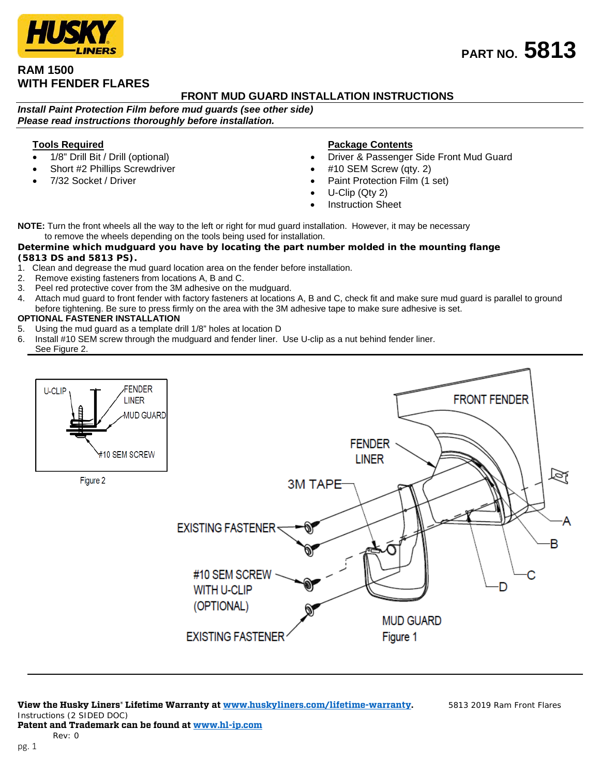# **RAM 1500 WITH FENDER FLARES**

## **FRONT MUD GUARD INSTALLATION INSTRUCTIONS**

*Install Paint Protection Film before mud guards (see other side) Please read instructions thoroughly before installation.*

### **Tools Required**

- 1/8" Drill Bit / Drill (optional)
- Short #2 Phillips Screwdriver
- 7/32 Socket / Driver

### **Package Contents**

- Driver & Passenger Side Front Mud Guard
- #10 SEM Screw (qty. 2)
- Paint Protection Film (1 set)
- U-Clip (Qty 2)
- **Instruction Sheet**

**NOTE:** Turn the front wheels all the way to the left or right for mud guard installation. However, it may be necessary to remove the wheels depending on the tools being used for installation.

### *Determine which mudguard you have by locating the part number molded in the mounting flange (5813 DS and 5813 PS).*

- 1. Clean and degrease the mud guard location area on the fender before installation.
- 2. Remove existing fasteners from locations A, B and C.
- 
- 3. Peel red protective cover from the 3M adhesive on the mudguard.<br>4. Attach mud guard to front fender with factory fasteners at locations Attach mud guard to front fender with factory fasteners at locations A, B and C, check fit and make sure mud guard is parallel to ground before tightening. Be sure to press firmly on the area with the 3M adhesive tape to make sure adhesive is set.

### **OPTIONAL FASTENER INSTALLATION**

- 5. Using the mud guard as a template drill 1/8" holes at location D
- 6. Install #10 SEM screw through the mudguard and fender liner. Use U-clip as a nut behind fender liner. See Figure 2.



#### **Patent and Trademark can be found at [www.hl-ip.com](http://www.hl-ip.com/)** Rev: 0

**PART NO. 5813**